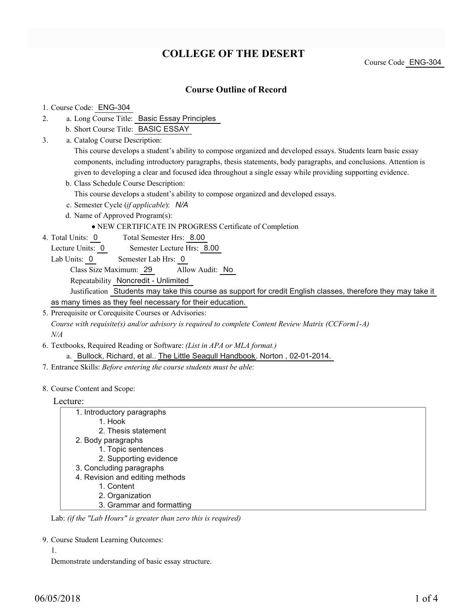# **COLLEGE OF THE DESERT**

Course Code ENG-304

### **Course Outline of Record**

#### 1. Course Code: ENG-304

- a. Long Course Title: Basic Essay Principles 2.
	- b. Short Course Title: BASIC ESSAY
- Catalog Course Description: a. 3.

This course develops a student's ability to compose organized and developed essays. Students learn basic essay components, including introductory paragraphs, thesis statements, body paragraphs, and conclusions. Attention is given to developing a clear and focused idea throughout a single essay while providing supporting evidence.

b. Class Schedule Course Description:

This course develops a student's ability to compose organized and developed essays.

- c. Semester Cycle (*if applicable*): *N/A*
- d. Name of Approved Program(s):

#### NEW CERTIFICATE IN PROGRESS Certificate of Completion

Total Semester Hrs: 8.00 4. Total Units: 0

Lecture Units: 0 Semester Lecture Hrs: 8.00

Lab Units: 0 Semester Lab Hrs: 0

Class Size Maximum: 29 Allow Audit: No

Repeatability Noncredit - Unlimited

Justification Students may take this course as support for credit English classes, therefore they may take it

as many times as they feel necessary for their education.

5. Prerequisite or Corequisite Courses or Advisories: *Course with requisite(s) and/or advisory is required to complete Content Review Matrix (CCForm1-A)*

*N/A*

Textbooks, Required Reading or Software: *(List in APA or MLA format.)* 6.

a. Bullock, Richard, et al.. The Little Seagull Handbook. Norton, 02-01-2014.

7. Entrance Skills: *Before entering the course students must be able:*

8. Course Content and Scope:

### Lecture:

| _vuutu.                         |  |
|---------------------------------|--|
| 1. Introductory paragraphs      |  |
| 1. Hook                         |  |
| 2. Thesis statement             |  |
| 2. Body paragraphs              |  |
| 1. Topic sentences              |  |
| 2. Supporting evidence          |  |
| 3. Concluding paragraphs        |  |
| 4. Revision and editing methods |  |
| 1. Content                      |  |
| 2. Organization                 |  |
| 3. Grammar and formatting       |  |

Lab: *(if the "Lab Hours" is greater than zero this is required)*

9. Course Student Learning Outcomes:

#### 1.

Demonstrate understanding of basic essay structure.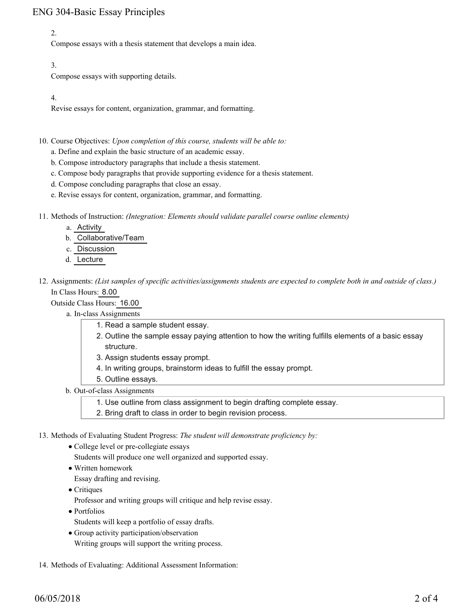## ENG 304-Basic Essay Principles

### 2.

Compose essays with a thesis statement that develops a main idea.

### 3.

Compose essays with supporting details.

### 4.

Revise essays for content, organization, grammar, and formatting.

10. Course Objectives: Upon completion of this course, students will be able to:

- a. Define and explain the basic structure of an academic essay.
- b. Compose introductory paragraphs that include a thesis statement.
- c. Compose body paragraphs that provide supporting evidence for a thesis statement.
- d. Compose concluding paragraphs that close an essay.
- e. Revise essays for content, organization, grammar, and formatting.
- Methods of Instruction: *(Integration: Elements should validate parallel course outline elements)* 11.
	- a. Activity
	- b. Collaborative/Team
	- c. Discussion
	- d. Lecture
- 12. Assignments: (List samples of specific activities/assignments students are expected to complete both in and outside of class.) In Class Hours: 8.00

Outside Class Hours: 16.00

- a. In-class Assignments
	- 1. Read a sample student essay.
		- 2. Outline the sample essay paying attention to how the writing fulfills elements of a basic essay structure.
		- 3. Assign students essay prompt.
		- 4. In writing groups, brainstorm ideas to fulfill the essay prompt.
		- 5. Outline essays.
- b. Out-of-class Assignments
	- 1. Use outline from class assignment to begin drafting complete essay.
	- 2. Bring draft to class in order to begin revision process.
- 13. Methods of Evaluating Student Progress: The student will demonstrate proficiency by:
	- College level or pre-collegiate essays
		- Students will produce one well organized and supported essay.
	- Written homework
	- Essay drafting and revising.
	- Critiques
		- Professor and writing groups will critique and help revise essay.
	- Portfolios
		- Students will keep a portfolio of essay drafts.
	- Group activity participation/observation Writing groups will support the writing process.
- 14. Methods of Evaluating: Additional Assessment Information: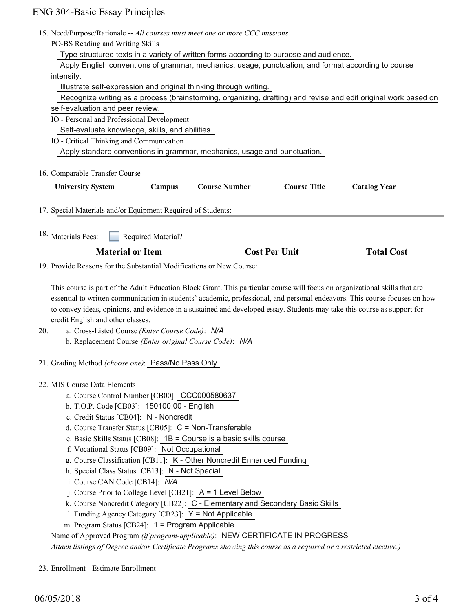### ENG 304-Basic Essay Principles

|     | <b>NG 304-Basic Essay Principles</b>                                                                                        |
|-----|-----------------------------------------------------------------------------------------------------------------------------|
|     | 15. Need/Purpose/Rationale -- All courses must meet one or more CCC missions.                                               |
|     | PO-BS Reading and Writing Skills                                                                                            |
|     | Type structured texts in a variety of written forms according to purpose and audience.                                      |
|     | Apply English conventions of grammar, mechanics, usage, punctuation, and format according to course                         |
|     | intensity.                                                                                                                  |
|     | Illustrate self-expression and original thinking through writing.                                                           |
|     | Recognize writing as a process (brainstorming, organizing, drafting) and revise and edit original work based on             |
|     | self-evaluation and peer review.                                                                                            |
|     | IO - Personal and Professional Development                                                                                  |
|     | Self-evaluate knowledge, skills, and abilities.                                                                             |
|     | IO - Critical Thinking and Communication                                                                                    |
|     | Apply standard conventions in grammar, mechanics, usage and punctuation.                                                    |
|     |                                                                                                                             |
|     | 16. Comparable Transfer Course                                                                                              |
|     | <b>Course Number</b><br><b>Course Title</b><br><b>University System</b><br>Campus<br><b>Catalog Year</b>                    |
|     |                                                                                                                             |
|     | 17. Special Materials and/or Equipment Required of Students:                                                                |
|     |                                                                                                                             |
|     | 18. Materials Fees:<br>Required Material?                                                                                   |
|     | <b>Material or Item</b><br><b>Cost Per Unit</b><br><b>Total Cost</b>                                                        |
|     | 19. Provide Reasons for the Substantial Modifications or New Course:                                                        |
|     |                                                                                                                             |
|     | This course is part of the Adult Education Block Grant. This particular course will focus on organizational skills that are |
|     | essential to written communication in students' academic, professional, and personal endeavors. This course focuses on how  |
|     | to convey ideas, opinions, and evidence in a sustained and developed essay. Students may take this course as support for    |
|     | credit English and other classes.                                                                                           |
| 20. | a. Cross-Listed Course (Enter Course Code): N/A                                                                             |
|     | b. Replacement Course (Enter original Course Code): N/A                                                                     |
|     |                                                                                                                             |
|     | 21. Grading Method (choose one): Pass/No Pass Only                                                                          |
|     | 22. MIS Course Data Elements                                                                                                |
|     | a. Course Control Number [CB00]: CCC000580637                                                                               |
|     | b. T.O.P. Code [CB03]: 150100.00 - English                                                                                  |
|     |                                                                                                                             |
|     |                                                                                                                             |
|     | c. Credit Status [CB04]: N - Noncredit                                                                                      |
|     | d. Course Transfer Status [CB05]: C = Non-Transferable                                                                      |
|     | e. Basic Skills Status [CB08]: $1B =$ Course is a basic skills course                                                       |
|     | f. Vocational Status [CB09]: Not Occupational                                                                               |
|     | g. Course Classification [CB11]: K - Other Noncredit Enhanced Funding<br>h. Special Class Status [CB13]: N - Not Special    |

- i. Course CAN Code [CB14]: *N/A* j. Course Prior to College Level [CB21]: A = 1 Level Below
- k. Course Noncredit Category [CB22]: C Elementary and Secondary Basic Skills
- l. Funding Agency Category [CB23]: Y = Not Applicable
- m. Program Status [CB24]: 1 = Program Applicable

Name of Approved Program *(if program-applicable)*: NEW CERTIFICATE IN PROGRESS

*Attach listings of Degree and/or Certificate Programs showing this course as a required or a restricted elective.)*

23. Enrollment - Estimate Enrollment